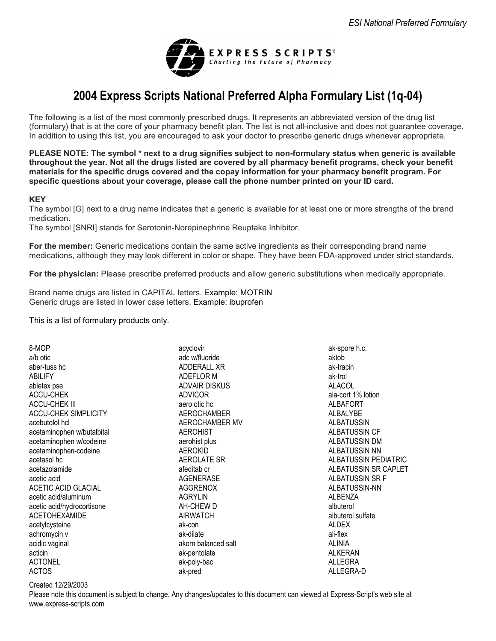

# **2004 Express Scripts National Preferred Alpha Formulary List (1q-04)**

The following is a list of the most commonly prescribed drugs. It represents an abbreviated version of the drug list (formulary) that is at the core of your pharmacy benefit plan. The list is not all-inclusive and does not guarantee coverage. In addition to using this list, you are encouraged to ask your doctor to prescribe generic drugs whenever appropriate.

**PLEASE NOTE: The symbol \* next to a drug signifies subject to non-formulary status when generic is available throughout the year. Not all the drugs listed are covered by all pharmacy benefit programs, check your benefit materials for the specific drugs covered and the copay information for your pharmacy benefit program. For specific questions about your coverage, please call the phone number printed on your ID card.** 

#### **KEY**

The symbol [G] next to a drug name indicates that a generic is available for at least one or more strengths of the brand medication.

The symbol [SNRI] stands for Serotonin-Norepinephrine Reuptake Inhibitor.

**For the member:** Generic medications contain the same active ingredients as their corresponding brand name medications, although they may look different in color or shape. They have been FDA-approved under strict standards.

**For the physician:** Please prescribe preferred products and allow generic substitutions when medically appropriate.

Brand name drugs are listed in CAPITAL letters. Example: MOTRIN Generic drugs are listed in lower case letters. Example: ibuprofen

This is a list of formulary products only.

8-MOP a/b otic aber-tuss hc ABILIFY abletex pse ACCU-CHEK ACCU-CHEK III ACCU-CHEK SIMPLICITY acebutolol hcl acetaminophen w/butalbital acetaminophen w/codeine acetaminophen-codeine acetasol hc acetazolamide acetic acid ACETIC ACID GLACIAL acetic acid/aluminum acetic acid/hydrocortisone ACETOHEXAMIDE acetylcysteine achromycin v acidic vaginal acticin ACTONEL ACTOS

acyclovir adc w/fluoride ADDERALL XR ADEFLOR M ADVAIR DISKUS ADVICOR aero otic hc AEROCHAMBER AEROCHAMBER MV AEROHIST aerohist plus AEROKID AEROLATE SR afeditab cr AGENERASE AGGRENOX AGRYLIN AH-CHEW D AIRWATCH ak-con ak-dilate akorn balanced salt ak-pentolate ak-poly-bac ak-pred

ak-spore h.c. aktob ak-tracin ak-trol ALACOL ala-cort 1% lotion ALBAFORT ALBALYBE ALBATUSSIN ALBATUSSIN CF ALBATUSSIN DM ALBATUSSIN NN ALBATUSSIN PEDIATRIC ALBATUSSIN SR CAPLET ALBATUSSIN SR F ALBATUSSIN-NN **ALBENZA** albuterol albuterol sulfate **ALDEX** ali-flex ALINIA ALKERAN ALLEGRA ALLEGRA-D

#### Created 12/29/2003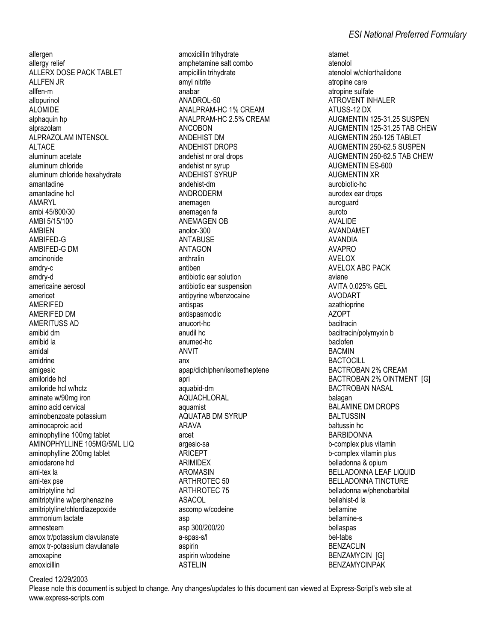allergen allergy relief ALLERX DOSE PACK TABLET **ALLFEN JR** allfen-m allopurinol **ALOMIDE** alphaquin hp alprazolam AI PRAZOLAM INTENSOL ALTACE aluminum acetate aluminum chloride aluminum chloride hexahydrate amantadine amantadine hcl **AMARYL** ambi 45/800/30 AMBI 5/15/100 **AMRIFN** AMBIFED-G AMBIFED-G DM amcinonide amdry-c amdry-d americaine aerosol americet **AMERIFED** AMERIFED DM AMFRITUSS AD amibid dm amibid la amidal amidrine amigesic amiloride hcl amiloride hcl w/hctz aminate w/90mg iron amino acid cervical aminobenzoate potassium aminocaproic acid aminophylline 100mg tablet AMINOPHYLLINE 105MG/5ML LIQ aminophylline 200mg tablet amiodarone hcl ami-tex la ami-tex pse amitriptyline hcl amitriptyline w/perphenazine amitriptyline/chlordiazepoxide ammonium lactate amnesteem amox tr/potassium clavulanate amox tr-potassium clavulanate amoxapine amoxicillin

amoxicillin trihydrate amphetamine salt combo ampicillin trihvdrate amyl nitrite anabar ANADROL-50 ANALPRAM-HC 1% CREAM ANALPRAM-HC 2.5% CREAM **ANCOBON ANDEHIST DM ANDEHIST DROPS** andehist nr oral drops andehist nr syrup ANDEHIST SYRUP andehist-dm **ANDRODERM** anemagen anemagen fa **ANEMAGEN OB**  $anolor-300$ **ANTABUSE ANTAGON** anthralin antiben antibiotic ear solution antibiotic ear suspension antipyrine w/benzocaine antispas antispasmodic anucort-hc anudil hc anumed-hc **ANVIT** anx apap/dichlphen/isometheptene apri aquabid-dm **AQUACHLORAL** aquamist **AQUATAB DM SYRUP ARAVA** arcet argesic-sa ARICEPT **ARIMIDEX AROMASIN ARTHROTEC 50 ARTHROTEC 75 ASACOL** ascomp w/codeine asp asp 300/200/20 a-spas-s/l aspirin aspirin w/codeine **ASTFIIN** 

atamet atenolol atenolol w/chlorthalidone atropine care atropine sulfate **ATROVENT INHALER** ATUSS-12 DX AUGMENTIN 125-31.25 SUSPEN AUGMENTIN 125-31.25 TAB CHEW AUGMENTIN 250-125 TABLET AUGMENTIN 250-62.5 SUSPEN AUGMENTIN 250-62.5 TAB CHEW AUGMENTIN ES-600 **AUGMENTIN XR** aurobiotic-hc aurodex ear drops auroquard auroto **AVALIDE** AVANDAMET **AVANDIA AVAPRO AVELOX AVELOX ABC PACK** aviane **AVITA 0.025% GEL AVODART** azathioprine **AZOPT** bacitracin bacitracin/polymyxin b baclofen **BACMIN BACTOCILL BACTROBAN 2% CREAM** BACTROBAN 2% OINTMENT [G] **BACTROBAN NASAL** balagan **BALAMINE DM DROPS BALTUSSIN** baltussin hc **BARBIDONNA** b-complex plus vitamin b-complex vitamin plus belladonna & opium BELLADONNA LEAF LIQUID **BELLADONNA TINCTURE** belladonna w/phenobarbital bellahist-d la bellamine bellamine-s bellaspas hel-tahs **BENZACLIN BENZAMYCIN [G] BENZAMYCINPAK** 

Created 12/29/2003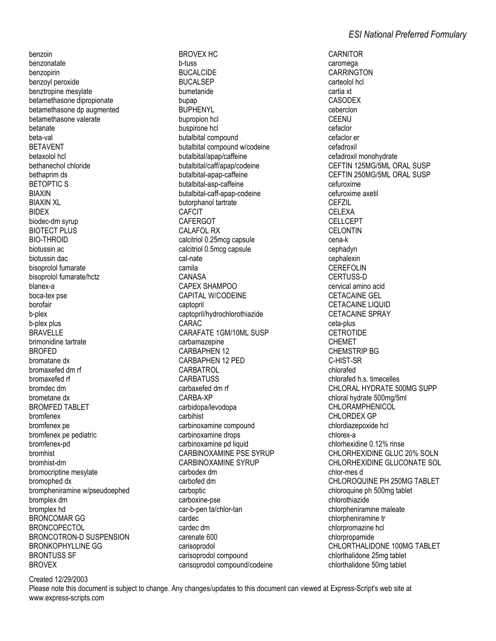benzoin benzonatate benzopirin benzoyl peroxide benztropine mesylate betamethasone dipropionate betamethasone dp augmented betamethasone valerate betanate beta-val BETAVENT betaxolol hcl bethanechol chloride bethaprim ds BETOPTIC S BIAXIN BIAXIN XL BIDEX biodec-dm syrup BIOTECT PLUS BIO-THROID biotussin ac biotussin dac bisoprolol fumarate bisoprolol fumarate/hctz blanex-a boca-tex pse borofair b-plex b-plex plus BRAVELLE brimonidine tartrate **BROFED** bromatane dx bromaxefed dm rf bromaxefed rf bromdec dm brometane dx BROMFED TABLET bromfenex bromfenex pe bromfenex pe pediatric bromfenex-pd bromhist bromhist-dm bromocriptine mesylate bromophed dx brompheniramine w/pseudoephed bromplex dm bromplex hd BRONCOMAR GG BRONCOPECTOL BRONCOTRON-D SUSPENSION BRONKOPHYLLINE GG BRONTUSS SF **BROVEX** 

b-tuss BUCALCIDE BUCALSEP bumetanide bupap BUPHENYL bupropion hcl buspirone hcl butalbital compound butalbital compound w/codeine butalbital/apap/caffeine butalbital/caff/apap/codeine butalbital-apap-caffeine butalbital-asp-caffeine butalbital-caff-apap-codeine butorphanol tartrate CAFCIT **CAFERGOT** CALAFOL RX calcitriol 0.25mcg capsule calcitriol 0.5mcg capsule cal-nate camila CANASA CAPEX SHAMPOO CAPITAL W/CODEINE captopril captopril/hydrochlorothiazide CARAC CARAFATE 1GM/10ML SUSP carbamazepine CARBAPHEN 12 CARBAPHEN 12 PED **CARBATROL CARBATUSS** carbaxefed dm rf CARBA-XP carbidopa/levodopa carbihist carbinoxamine compound carbinoxamine drops carbinoxamine pd liquid CARBINOXAMINE PSE SYRUP CARBINOXAMINE SYRUP carbodex dm carbofed dm carboptic carboxine-pse car-b-pen ta/chlor-tan cardec cardec dm carenate 600 carisoprodol carisoprodol compound carisoprodol compound/codeine

BROVEX HC

CARNITOR caromega **CARRINGTON** carteolol hcl cartia xt CASODEX ceberclon CEENU cefaclor cefaclor er cefadroxil cefadroxil monohydrate CEFTIN 125MG/5ML ORAL SUSP CEFTIN 250MG/5ML ORAL SUSP cefuroxime cefuroxime axetil CEFZIL CELEXA CELLCEPT **CELONTIN** cena-k cephadyn cephalexin **CEREFOLIN** CERTUSS-D cervical amino acid CETACAINE GEL CETACAINE LIQUID CETACAINE SPRAY ceta-plus **CETROTIDE** CHEMET CHEMSTRIP BG C-HIST-SR chlorafed chlorafed h.s. timecelles CHLORAL HYDRATE 500MG SUPP chloral hydrate 500mg/5ml CHLORAMPHENICOL CHI ORDEX GP chlordiazepoxide hcl chlorex-a chlorhexidine 0.12% rinse CHLORHEXIDINE GLUC 20% SOLN CHLORHEXIDINE GLUCONATE SOL chlor-mes d CHLOROQUINE PH 250MG TABLET chloroquine ph 500mg tablet chlorothiazide chlorpheniramine maleate chlorpheniramine tr chlorpromazine hcl chlorpropamide CHLORTHALIDONE 100MG TABLET chlorthalidone 25mg tablet chlorthalidone 50mg tablet

Created 12/29/2003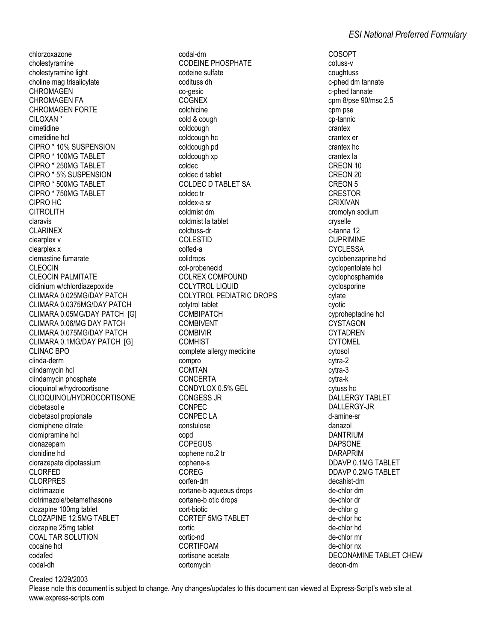chlorzoxazone cholestyramine cholestyramine light choline mag trisalicylate **CHROMAGEN CHROMAGEN FA CHROMAGEN FORTE** CILOXAN<sup>\*</sup> cimetidine cimetidine hcl CIPRO \* 10% SUSPENSION CIPRO \* 100MG TABLET CIPRO \* 250MG TABLET CIPRO \* 5% SUSPENSION CIPRO \* 500MG TABLET CIPRO \* 750MG TABLET CIPRO HC **CITROLITH** claravis **CLARINEX** clearplex v clearplex x clemastine fumarate **CLEOCIN CLEOCIN PALMITATE** clidinium w/chlordiazepoxide CLIMARA 0.025MG/DAY PATCH CLIMARA 0.0375MG/DAY PATCH CLIMARA 0.05MG/DAY PATCH IGI CLIMARA 0.06/MG DAY PATCH CLIMARA 0.075MG/DAY PATCH CLIMARA 0.1MG/DAY PATCH [G] **CLINAC BPO** clinda-derm clindamycin hcl clindamycin phosphate clioquinol w/hydrocortisone CLIOQUINOL/HYDROCORTISONE clobetasol e clobetasol propionate clomiphene citrate clomipramine hcl clonazepam clonidine hcl clorazepate dipotassium **CLORFED CLORPRES** clotrimazole clotrimazole/betamethasone clozapine 100mg tablet **CLOZAPINE 12.5MG TABLET** clozapine 25mg tablet COAL TAR SOLUTION

codal-dm **CODEINE PHOSPHATE** codeine sulfate codituss dh co-gesic **COGNEX** colchicine cold & cough coldcough coldcough hc coldcough pd coldcough xp coldec coldec d tablet **COLDEC D TABLET SA** coldec tr coldex-a sr coldmist dm coldmist la tablet coldtuss-dr **COLESTID** colfed-a colidrops col-probenecid **COLREX COMPOUND COLYTROL LIQUID COLYTROL PEDIATRIC DROPS** colvtrol tablet **COMBIPATCH** COMBIVENT **COMBIVIR COMHIST** complete allergy medicine compro **COMTAN CONCERTA** CONDYLOX 0.5% GEL **CONGESS JR** CONPEC **CONPEC LA** constulose copd **COPEGUS** cophene no.2 tr cophene-s COREG corfen-dm cortane-b aqueous drops cortane-b otic drops cort-biotic **CORTEF 5MG TABLET** cortic cortic-nd CORTIFOAM cortisone acetate cortomycin

**COSOPT** cotuss-v coughtuss c-phed dm tannate c-phed tannate cpm 8/pse 90/msc 2.5 cpm pse cp-tannic crantex crantex er crantex hc crantex la CREON 10 CREON 20 CREON<sub>5</sub> CRESTOR CRIXIVAN cromolyn sodium cryselle c-tanna 12 **CUPRIMINE CYCLESSA** cyclobenzaprine hcl cyclopentolate hcl cyclophosphamide cyclosporine cylate cvotic cyproheptadine hcl CYSTAGON **CYTADREN CYTOMEL** cytosol cytra-2 cytra-3 cytra-k cytuss hc DALLERGY TABLET DALLERGY-JR d-amine-sr danazol **DANTRIUM DAPSONE DARAPRIM** DDAVP 0.1MG TABLET DDAVP 0.2MG TABLET decahist-dm de-chlor dm de-chlor dr de-chlor a de-chlor hc de-chlor hd de-chlor mr de-chlor nx DECONAMINE TABLET CHEW decon-dm

Created 12/29/2003

cocaine hcl

codafed

codal-dh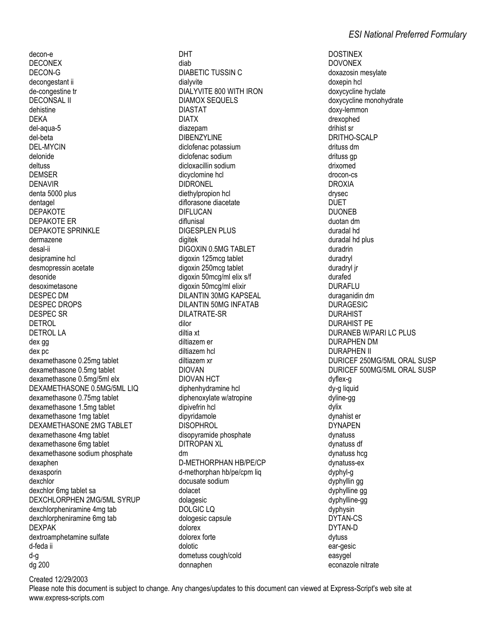decon-e **DECONEX** DECON-G decongestant ii de-congestine tr **DECONSAL II** dehistine **DEKA** del-aqua-5 del-beta **DEL-MYCIN** delonide deltuss **DEMSER DENAVIR** denta 5000 plus dentagel **DEPAKOTE** DEPAKOTE ER **DEPAKOTE SPRINKLE** dermazene desal-ii desipramine hcl desmopressin acetate desonide desoximetasone **DESPEC DM DESPEC DROPS DESPEC SR DETROL DETROL LA** dex gg dex pc dexamethasone 0.25mg tablet dexamethasone 0.5mg tablet dexamethasone 0.5mg/5ml elx DEXAMETHASONE 0.5MG/5ML LIQ dexamethasone 0.75mg tablet dexamethasone 1.5mg tablet dexamethasone 1mg tablet DEXAMETHASONE 2MG TABLET dexamethasone 4mg tablet dexamethasone 6mg tablet dexamethasone sodium phosphate dexaphen dexasporin dexchlor dexchlor 6mg tablet sa DEXCHLORPHEN 2MG/5ML SYRUP dexchlorpheniramine 4mg tab dexchlorpheniramine 6mg tab **DEXPAK** dextroamphetamine sulfate d-feda ii d-g dg 200

**DHT** diab **DIABETIC TUSSIN C** dialvvite DIALYVITE 800 WITH IRON **DIAMOX SEQUELS DIASTAT DIATX** diazepam **DIBENZYLINE** diclofenac potassium diclofenac sodium dicloxacillin sodium dicyclomine hcl **DIDRONEL** diethylpropion hcl diflorasone diacetate **DIFLUCAN** diflunisal **DIGESPLEN PLUS** diaitek DIGOXIN 0.5MG TABLET digoxin 125mcg tablet digoxin 250mcg tablet digoxin 50mcg/ml elix s/f digoxin 50mcg/ml elixir **DILANTIN 30MG KAPSEAL DILANTIN 50MG INFATAB** DILATRATE-SR dilor diltia xt diltiazem er diltiazem hol diltiazem xr **DIOVAN DIOVAN HCT** diphenhydramine hcl diphenoxylate w/atropine dipivefrin hcl dipyridamole **DISOPHROL** disopyramide phosphate **DITROPAN XL** dm D-METHORPHAN HB/PE/CP d-methorphan hb/pe/cpm liq docusate sodium dolacet dolagesic **DOLGIC LO** dologesic capsule dolorex dolorex forte dolotic dometuss cough/cold donnaphen

# **ESI National Preferred Formulary**

**DOSTINEX DOVONEX** doxazosin mesvlate doxepin hcl doxycycline hyclate doxycycline monohydrate doxy-lemmon drexophed drihist sr DRITHO-SCALP drituss dm drituss gp drixomed drocon-cs **DROXIA** drysec **DUFT DUONEB** duotan dm duradal hd duradal hd plus duradrin duradryl duradryl jr durafed **DURAFLU** duraganidin dm **DURAGESIC DURAHIST** DURAHIST PF DURANEB W/PARI LC PLUS **DURAPHEN DM** DURAPHEN II DURICEF 250MG/5ML ORAL SUSP DURICEF 500MG/5ML ORAL SUSP dyflex-g dy-g liquid dyline-gg dvlix dvnahist er **DYNAPEN** dvnatuss dynatuss df dynatuss hcg dynatuss-ex dyphyl-g dyphyllin gg dyphylline gg dyphylline-gg dyphysin DYTAN-CS DYTAN-D dytuss ear-gesic easvael econazole nitrate

Created 12/29/2003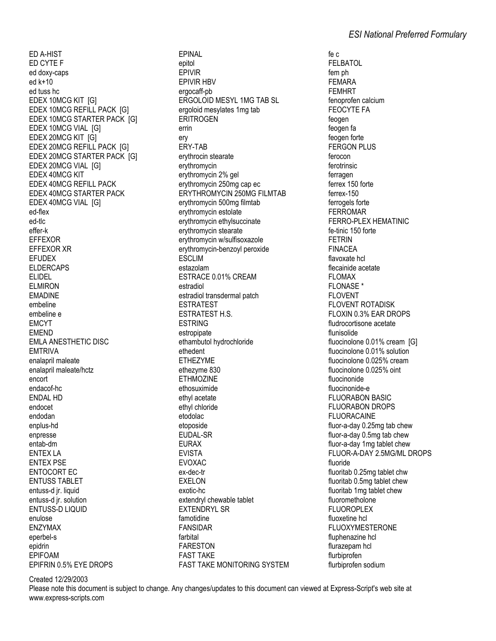ED A-HIST ED CYTE F ed doxy-caps  $ed k+10$ ed tuss hc EDEX 10MCG KIT [G] EDEX 10MCG REFILL PACK [G] EDEX 10MCG STARTER PACK [G] EDEX 10MCG VIAL [G] EDEX 20MCG KIT [G] EDEX 20MCG REFILL PACK [G] EDEX 20MCG STARTER PACK [G] EDEX 20MCG VIAL [G] EDEX 40MCG KIT **EDEX 40MCG REFILL PACK EDEX 40MCG STARTER PACK** EDEX 40MCG VIAL [G] ed-flex ed-tlc effer-k **EFFEXOR EFFEXOR XR EFUDEX ELDERCAPS FLIDEL ELMIRON EMADINE** embeline embeline e **FMCYT EMEND EMLA ANESTHETIC DISC FMTRIVA** enalapril maleate enalapril maleate/hctz encort endacof-hc **ENDAL HD** endocet endodan enplus-hd enpresse entab-dm **ENTEX LA ENTEX PSE ENTOCORT EC ENTUSS TABLET** entuss-d jr. liquid entuss-d ir. solution **ENTUSS-D LIQUID** enulose **ENZYMAX** eperbel-s epidrin **EPIFOAM** FPIFRIN 0.5% FYF DROPS

**EPINAL** epitol EPIVIR **EPIVIR HBV** ergocaff-pb **ERGOLOID MESYL 1MG TAB SL** ergoloid mesylates 1mg tab **ERITROGEN** errin erv ERY-TAB ervthrocin stearate erythromycin erythromycin 2% gel ervthromvcin 250mg cap ec ERYTHROMYCIN 250MG FILMTAB erythromycin 500mg filmtab erythromycin estolate erythromycin ethylsuccinate erythromycin stearate erythromycin w/sulfisoxazole erythromycin-benzoyl peroxide **ESCLIM** estazolam ESTRACE 0.01% CREAM estradiol estradiol transdermal patch **ESTRATEST ESTRATEST H.S. FSTRING** estropipate ethambutol hydrochloride ethedent **ETHEZYME** ethezvme 830 **ETHMOZINE** ethosuximide ethyl acetate ethyl chloride etodolac etoposide **EUDAL-SR EURAX EVISTA EVOXAC** ex-dec-tr **EXELON** exotic-hc extendryl chewable tablet **EXTENDRYL SR** famotidine **FANSIDAR** farbital **FARESTON FAST TAKE FAST TAKE MONITORING SYSTEM** 

fe c **FELBATOL** fem ph **FEMARA FEMHRT** fenoprofen calcium **FEOCYTE FA** feogen feogen fa feogen forte **FERGON PLUS** ferocon ferotrinsic ferragen ferrex 150 forte  $frrex-150$ ferrogels forte **FERROMAR** FERRO-PLEX HEMATINIC fe-tinic 150 forte **FETRIN FINACEA** flavoxate hcl flecainide acetate **FLOMAX FLONASE\* FLOVENT FLOVENT ROTADISK** FLOXIN 0.3% EAR DROPS fludrocortisone acetate flunisolide fluocinolone 0.01% cream [G] fluocinolone 0.01% solution fluocinolone 0.025% cream fluocinolone 0.025% oint fluocinonide fluocinonide-e **FLUORABON BASIC FLUORABON DROPS FLUORACAINE** fluor-a-day 0.25mg tab chew fluor-a-day 0.5mg tab chew fluor-a-day 1mg tablet chew FLUOR-A-DAY 2.5MG/ML DROPS fluoride fluoritab 0.25mg tablet chw fluoritab 0.5mg tablet chew fluoritab 1mg tablet chew fluorometholone **FLUOROPLEX** fluoxetine hcl **FLUOXYMESTERONE** fluphenazine hcl flurazepam hcl flurbiprofen flurbiprofen sodium

Created 12/29/2003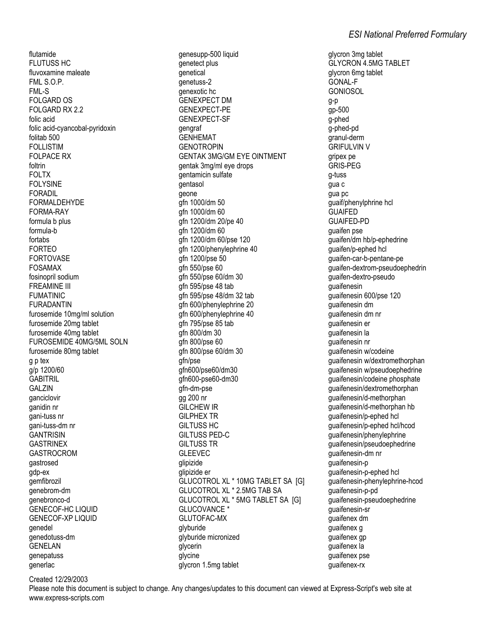flutamide FLUTUSS HC fluvoxamine maleate FML S.O.P. FML-S FOLGARD OS FOLGARD RX 2.2 folic acid folic acid-cyancobal-pyridoxin folitab 500 FOLLISTIM FOLPACE RX foltrin FOLTX FOLYSINE FORADIL FORMALDEHYDE FORMA-RAY formula b plus formula-b fortabs FORTEO FORTOVASE FOSAMAX fosinopril sodium FREAMINE III FUMATINIC FURADANTIN furosemide 10mg/ml solution furosemide 20mg tablet furosemide 40mg tablet FUROSEMIDE 40MG/5ML SOLN furosemide 80mg tablet g p tex g/p 1200/60 **GABITRIL GALZIN** ganciclovir ganidin nr gani-tuss nr gani-tuss-dm nr **GANTRISIN** GASTRINEX GASTROCROM gastrosed gdp-ex gemfibrozil genebrom-dm genebronco-d GENECOF-HC LIQUID GENECOF-XP LIQUID genedel genedotuss-dm GENELAN genepatuss generlac

genesupp-500 liquid genetect plus genetical genetuss-2 genexotic hc GENEXPECT DM GENEXPECT-PE GENEXPECT-SF gengraf GENHEMAT **GENOTROPIN** GENTAK 3MG/GM EYE OINTMENT gentak 3mg/ml eye drops gentamicin sulfate gentasol geone gfn 1000/dm 50 gfn 1000/dm 60 gfn 1200/dm 20/pe 40 gfn 1200/dm 60 gfn 1200/dm 60/pse 120 gfn 1200/phenylephrine 40 gfn 1200/pse 50 gfn 550/pse 60 gfn 550/pse 60/dm 30 gfn 595/pse 48 tab gfn 595/pse 48/dm 32 tab gfn 600/phenylephrine 20 gfn 600/phenylephrine 40 gfn 795/pse 85 tab gfn 800/dm 30 gfn 800/pse 60 gfn 800/pse 60/dm 30 gfn/pse gfn600/pse60/dm30 gfn600-pse60-dm30 gfn-dm-pse gg 200 nr GILCHEW IR GILPHEX TR GILTUSS HC GILTUSS PED-C GILTUSS TR GLEEVEC glipizide glipizide er GLUCOTROL XL \* 10MG TABLET SA [G] GLUCOTROL XL \* 2.5MG TAB SA GLUCOTROL XL \* 5MG TABLET SA [G] GLUCOVANCE<sup>\*</sup> GLUTOFAC-MX glyburide glyburide micronized glycerin glycine glycron 1.5mg tablet

glycron 3mg tablet GLYCRON 4.5MG TABLET glycron 6mg tablet GONAL-F GONIOSOL g-p gp-500 g-phed g-phed-pd granul-derm GRIFULVIN V gripex pe GRIS-PEG g-tuss gua c gua pc guaif/phenylphrine hcl GUAIFED GUAIFED-PD guaifen pse guaifen/dm hb/p-ephedrine guaifen/p-ephed hcl guaifen-car-b-pentane-pe guaifen-dextrom-pseudoephedrin guaifen-dextro-pseudo guaifenesin guaifenesin 600/pse 120 guaifenesin dm guaifenesin dm nr guaifenesin er guaifenesin la guaifenesin nr guaifenesin w/codeine guaifenesin w/dextromethorphan guaifenesin w/pseudoephedrine guaifenesin/codeine phosphate guaifenesin/dextromethorphan guaifenesin/d-methorphan guaifenesin/d-methorphan hb guaifenesin/p-ephed hcl guaifenesin/p-ephed hcl/hcod guaifenesin/phenylephrine guaifenesin/pseudoephedrine guaifenesin-dm nr guaifenesin-p guaifenesin-p-ephed hcl guaifenesin-phenylephrine-hcod guaifenesin-p-pd guaifenesin-pseudoephedrine guaifenesin-sr guaifenex dm guaifenex g guaifenex gp guaifenex la guaifenex pse guaifenex-rx

Created 12/29/2003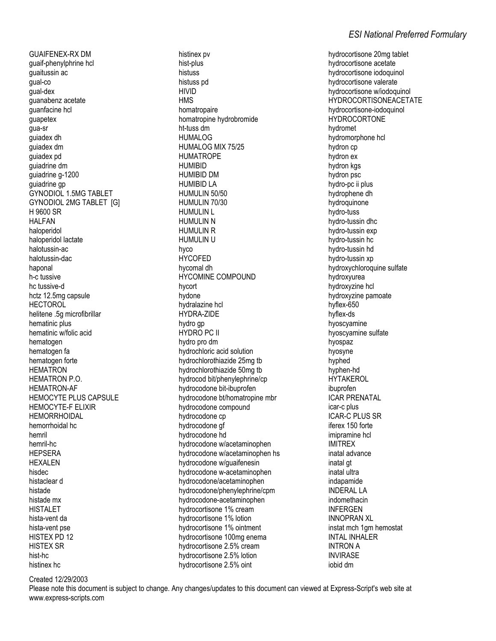**GUAIFENEX-RX DM** guaif-phenylphrine hcl quaitussin ac qual-co gual-dex guanabenz acetate guanfacine hcl guapetex gua-sr quiadex dh guiadex dm guiadex pd quiadrine dm quiadrine q-1200 quiadrine gp **GYNODIOL 1.5MG TABLET** GYNODIOL 2MG TABLET [G] H 9600 SR **HALFAN** haloperidol haloperidol lactate halotussin-ac halotussin-dac haponal h-c tussive hc tussive-d hctz 12.5mg capsule **HECTOROL** helitene .5a microfibrillar hematinic plus hematinic w/folic acid hematogen hematogen fa hematogen forte **HEMATRON** HEMATRON P.O. **HEMATRON-AF** HEMOCYTE PLUS CAPSULE HEMOCYTE-F ELIXIR **HEMORRHOIDAL** hemorrhoidal hc hemril hemril-hc **HEPSERA HEXALEN** hisdec histaclear d histade histade mx **HISTALET** hista-vent da hista-vent pse HISTEX PD 12 **HISTEX SR** hist-hc histinex hc

histinex pv hist-plus histuss histuss pd **HIVID HMS** homatropaire homatropine hydrobromide ht-tuss dm HUMAI OG HUMALOG MIX 75/25 **HUMATROPE HUMIRID HUMIBID DM HUMIBID LA** HUMULIN 50/50 HUMULIN 70/30 **HUMULIN L HUMULIN N HUMULIN R HUMULIN U** hyco **HYCOFED** hycomal dh **HYCOMINE COMPOUND** hycort hydone hydralazine hcl **HYDRA-ZIDE** hydro qp **HYDRO PC II** hydro pro dm hydrochloric acid solution hydrochlorothiazide 25mg tb hydrochlorothiazide 50mg tb hydrocod bit/phenylephrine/cp hydrocodone bit-ibuprofen hydrocodone bt/homatropine mbr hydrocodone compound hydrocodone cp hydrocodone gf hydrocodone hd hydrocodone w/acetaminophen hydrocodone w/acetaminophen hs hydrocodone w/guaifenesin hydrocodone w-acetaminophen hydrocodone/acetaminophen hydrocodone/phenylephrine/cpm hydrocodone-acetaminophen hydrocortisone 1% cream hydrocortisone 1% lotion hydrocortisone 1% ointment hydrocortisone 100mg enema hydrocortisone 2.5% cream hydrocortisone 2.5% lotion hydrocortisone 2.5% oint

hydrocortisone 20mg tablet hydrocortisone acetate hydrocortisone iodoquinol hydrocortisone valerate hydrocortisone w/iodoquinol **HYDROCORTISONEACETATE** hydrocortisone-iodoquinol **HYDROCORTONE** hydromet hydromorphone hcl hydron cp hydron ex hydron kgs hydron psc hydro-pc ii plus hydrophene dh hydroguinone hvdro-tuss hydro-tussin dhc hydro-tussin exp hydro-tussin hc hydro-tussin hd hydro-tussin xp hydroxychloroquine sulfate hydroxyurea hydroxyzine hcl hydroxyzine pamoate hyflex-650 hvflex-ds hyoscyamine hyoscyamine sulfate hvospaz hyosyne hyphed hvphen-hd **HYTAKEROL** ibuprofen **ICAR PRENATAL** icar-c plus **ICAR-C PLUS SR** iferex 150 forte iminramine hcl **IMITRFX** inatal advance inatal gt inatal ultra indapamide **INDERAL LA** indomethacin **INFERGEN INNOPRAN XL** instat mch 1 am hemostat **INTAL INHALER INTRON A INVIRASE** iobid dm

Created 12/29/2003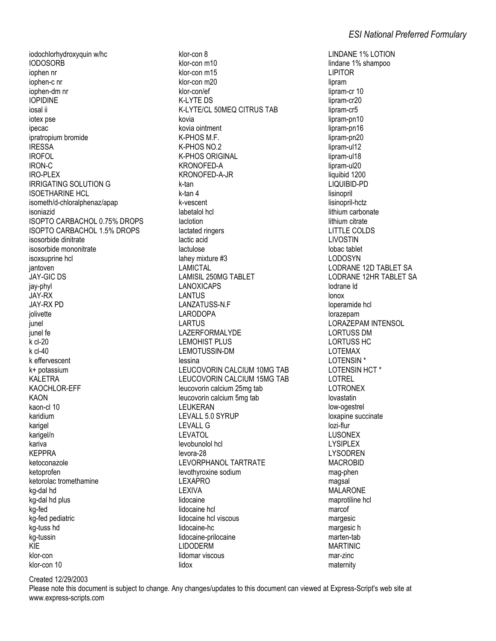iodochlorhydroxyquin w/hc **IODOSORB** iophen nr iophen-c nr iophen-dm nr **IOPIDINE** iosal ii iotex pse ipecac ipratropium bromide **IRESSA IROFOL IRON-C IRO-PLEX IRRIGATING SOLUTION G ISOFTHARINE HCL** isometh/d-chloralphenaz/apap isoniazid **ISOPTO CARBACHOL 0.75% DROPS ISOPTO CARBACHOL 1.5% DROPS** isosorbide dinitrate isosorbide mononitrate isoxsuprine hcl jantoven JAY-GIC DS iav-phyl **JAY-RX JAY-RX PD** iolivette iunel junel fe  $k$  cl-20  $k$  cl-40 k effervescent k+ potassium **KALETRA** KAOCHLOR-EFF **KAON** kaon-cl 10 karidium karigel karigel/n kariva **KEPPRA** ketoconazole ketoprofen ketorolac tromethamine kg-dal hd kg-dal hd plus ka-fed kg-fed pediatric ka-tuss hd ka-tussin KIE klor-con klor-con 10

klor-con 8 klor-con m10 klor-con m15 klor-con m20 klor-con/ef K-LYTE DS K-LYTE/CL 50MEQ CITRUS TAB kovia kovia ointment K-PHOS M F K-PHOS NO.2 **K-PHOS ORIGINAL** KRONOFFD-A KRONOFED-A-JR k-tan k-tan 4 k-vescent labetalol hcl laclotion lactated ringers lactic acid lactulose lahey mixture #3 **LAMICTAL LAMISIL 250MG TABLET LANOXICAPS LANTUS** LANZATUSS-N.F **LARODOPA LARTUS** LAZERFORMALYDE **LEMOHIST PLUS I FMOTUSSIN-DM** lessina LEUCOVORIN CALCIUM 10MG TAB LEUCOVORIN CALCIUM 15MG TAB leucovorin calcium 25mg tab leucovorin calcium 5mg tab **LEUKERAN** LEVALL 5.0 SYRUP **LEVALL G** LEVATOL levobunolol hcl levora-28 LEVORPHANOL TARTRATE levothvroxine sodium **LEXAPRO** LEXIVA lidocaine lidocaine hcl lidocaine hcl viscous lidocaine-hc lidocaine-prilocaine **LIDODERM** lidomar viscous lidox

**LINDANE 1% LOTION** lindane 1% shampoo **LIPITOR** lipram lipram-cr 10 lipram-cr20 lipram-cr5 lipram-pn10 lipram-pn16 lipram-pn20 lipram-ul12 lipram-ul18 lipram-ul20 liquibid 1200 LIQUIBID-PD lisinopril lisinopril-hctz lithium carbonate lithium citrate **LITTLE COLDS LIVOSTIN** lobac tablet **LODOSYN** LODRANE 12D TABLET SA LODRANE 12HR TABLET SA lodrane Id lonox loperamide hcl lorazepam LORAZEPAM INTENSOL **LORTUSS DM LORTUSS HC LOTEMAX LOTENSIN\* LOTENSIN HCT\* LOTREL LOTRONEX** lovastatin low-ogestrel loxapine succinate lozi-flur **I USONEX LYSIPLEX LYSODREN MACROBID** mag-phen magsal **MALARONE** maprotiline hcl marcof margesic margesic h marten-tab **MARTINIC** mar-zinc maternity

Created 12/29/2003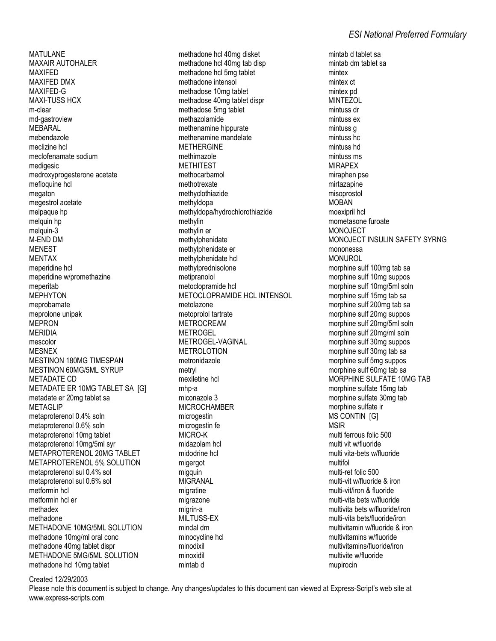MATULANE MAXAIR AUTOHALER MAXIFED MAXIFED DMX MAXIFED-G MAXI-TUSS HCX m-clear md-gastroview MEBARAL mebendazole meclizine hcl meclofenamate sodium medigesic medroxyprogesterone acetate mefloquine hcl megaton megestrol acetate melpaque hp melquin hp melquin-3 M-END DM MENEST MENTAX meperidine hcl meperidine w/promethazine meperitab MEPHYTON meprobamate meprolone unipak MEPRON MERIDIA mescolor MESNEX MESTINON 180MG TIMESPAN MESTINON 60MG/5ML SYRUP METADATE CD METADATE ER 10MG TABLET SA [G] metadate er 20mg tablet sa **METAGLIP** metaproterenol 0.4% soln metaproterenol 0.6% soln metaproterenol 10mg tablet metaproterenol 10mg/5ml syr METAPROTERENOL 20MG TABLET METAPROTERENOL 5% SOLUTION metaproterenol sul 0.4% sol metaproterenol sul 0.6% sol metformin hcl metformin hcl er methadex methadone METHADONE 10MG/5ML SOLUTION methadone 10mg/ml oral conc methadone 40mg tablet dispr METHADONE 5MG/5ML SOLUTION methadone hcl 10mg tablet

methadone hcl 40mg disket methadone hcl 40mg tab disp methadone hcl 5mg tablet methadone intensol methadose 10mg tablet methadose 40mg tablet dispr methadose 5mg tablet methazolamide methenamine hippurate methenamine mandelate METHERGINE methimazole **METHITEST** methocarbamol methotrexate methyclothiazide methyldopa methyldopa/hydrochlorothiazide methylin methylin er methylphenidate methylphenidate er methylphenidate hcl methylprednisolone metipranolol metoclopramide hcl METOCLOPRAMIDE HCL INTENSOL metolazone metoprolol tartrate METROCREAM METROGEL METROGEL-VAGINAL METROLOTION metronidazole metryl mexiletine hcl mhp-a miconazole 3 MICROCHAMBER microgestin microgestin fe MICRO-K midazolam hcl midodrine hcl migergot migquin MIGRANAL migratine migrazone migrin-a MILTUSS-EX mindal dm minocycline hcl minodixil minoxidil mintab d

mintab d tablet sa mintab dm tablet sa mintex mintex ct mintex pd MINTEZOL mintuss dr mintuss ex mintuss g mintuss hc mintuss hd mintuss ms MIRAPEX miraphen pse mirtazapine misoprostol MOBAN moexipril hcl mometasone furoate MONOJECT MONOJECT INSULIN SAFETY SYRNG mononessa MONUROL morphine sulf 100mg tab sa morphine sulf 10mg suppos morphine sulf 10mg/5ml soln morphine sulf 15mg tab sa morphine sulf 200mg tab sa morphine sulf 20mg suppos morphine sulf 20mg/5ml soln morphine sulf 20mg/ml soln morphine sulf 30mg suppos morphine sulf 30mg tab sa morphine sulf 5mg suppos morphine sulf 60mg tab sa MORPHINE SULFATE 10MG TAB morphine sulfate 15mg tab morphine sulfate 30mg tab morphine sulfate ir MS CONTIN [G] MSIR multi ferrous folic 500 multi vit w/fluoride multi vita-bets w/fluoride multifol multi-ret folic 500 multi-vit w/fluoride & iron multi-vit/iron & fluoride multi-vita bets w/fluoride multivita bets w/fluoride/iron multi-vita bets/fluoride/iron multivitamin w/fluoride & iron multivitamins w/fluoride multivitamins/fluoride/iron multivite w/fluoride mupirocin

Created 12/29/2003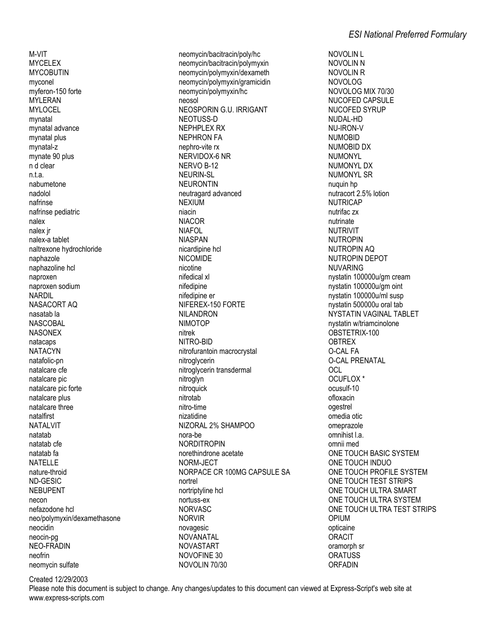M-VIT **MYCELEX MYCOBUTIN** myconel mvferon-150 forte **MYLERAN MYLOCEL** mvnatal mynatal advance mynatal plus mynatal-z mynate 90 plus n d clear n.t.a. nabumetone nadolol nafrinse nafrinse pediatric nalex nalex ir nalex-a tablet naltrexone hydrochloride naphazole naphazoline hcl naproxen naproxen sodium **NARDIL** NASACORT AQ nasatab la **NASCORAL NASONEX** natacaps **NATACYN** natafolic-pn natalcare cfe natalcare pic natalcare pic forte natalcare plus natalcare three natalfirst **NATALVIT** natatah natatab cfe natatab fa **NATELLE** nature-throid ND-GESIC **NEBUPENT** necon nefazodone hcl neo/polymyxin/dexamethasone neocidin neocin-pa NEO-FRADIN neofrin neomycin sulfate

neomycin/bacitracin/poly/hc neomycin/bacitracin/polymyxin neomycin/polymyxin/dexameth neomycin/polymyxin/gramicidin neomycin/polymyxin/hc neosol NEOSPORIN G.U. IRRIGANT NEOTUSS-D **NEPHPLEX RX NEPHRON FA** nephro-vite rx NERVIDOX-6 NR NFRVO R-12 **NEURIN-SL NEURONTIN** neutragard advanced **NEXIUM** niacin **NIACOR NIAFOL NIASPAN** nicardipine hcl **NICOMIDE** nicotine nifedical xl nifedipine nifedipine er NIFEREX-150 FORTE NIL ANDRON **NIMOTOP** nitrek NITRO-BID nitrofurantoin macrocrystal nitroglycerin nitroglycerin transdermal nitroglyn nitroquick nitrotab nitro-time nizatidine NIZORAL 2% SHAMPOO nora-be **NORDITROPIN** norethindrone acetate NORM-JECT NORPACE CR 100MG CAPSULE SA nortrel nortriptyline hcl nortuss-ex **NORVASC NORVIR** novagesic NOVANATAI **NOVASTART** NOVOFINE 30 NOVOLIN 70/30

**NOVOLIN L NOVOLIN N NOVOLIN R NOVOLOG** NOVOLOG MIX 70/30 NUCOFED CAPSULE NUCOFED SYRUP NUDAL-HD NU-IRON-V **NUMORID** NUMOBID DX **NUMONYL** NUMONYI DX **NUMONYL SR** nuguin hp nutracort 2.5% lotion **NUTRICAP** nutrifac zx nutrinate **NUTRIVIT NUTROPIN NUTROPIN AQ** NUTROPIN DEPOT **NUVARING** nystatin 100000u/gm cream nystatin 100000u/gm oint nystatin 100000u/ml susp nystatin 500000u oral tab NYSTATIN VAGINAL TABLET nystatin w/triamcinolone OBSTETRIX-100 **OBTREX** O-CAI FA **O-CAL PRENATAL** OCL OCUFLOX<sup>\*</sup> ocusulf-10 ofloxacin ogestrel omedia otic omeprazole omnihist I.a. omnii med ONE TOUCH BASIC SYSTEM ONE TOUCH INDUO ONE TOUCH PROFILE SYSTEM ONE TOUCH TEST STRIPS ONE TOUCH ULTRA SMART ONE TOUCH ULTRA SYSTEM ONE TOUCH ULTRA TEST STRIPS OPIUM opticaine **ORACIT** oramorph sr **ORATUSS** ORFADIN

Created 12/29/2003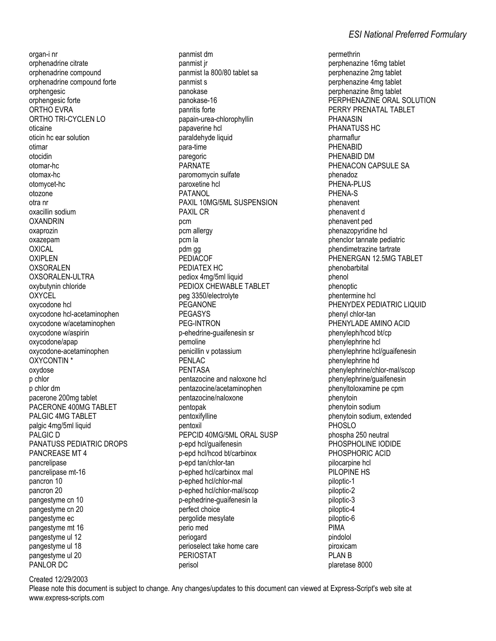organ-i nr orphenadrine citrate orphenadrine compound orphenadrine compound forte orphengesic orphengesic forte ORTHO EVRA ORTHO TRI-CYCLEN LO oticaine oficin he ear solution otimar otocidin otomar-hc otomax-hc otomvcet-hc otozone otra nr oxacillin sodium **OXANDRIN** oxaprozin oxazepam OXICAL **OXIPLEN OXSORALEN** OXSORALEN-ULTRA oxybutynin chloride **OXYCEL** oxycodone hcl oxycodone hcl-acetaminophen oxycodone w/acetaminophen oxycodone w/aspirin oxycodone/apap oxycodone-acetaminophen OXYCONTIN \* oxydose p chlor p chlor dm pacerone 200mg tablet PACERONE 400MG TABLET PALGIC 4MG TABLET palgic 4mg/5ml liquid PALGIC D PANATUSS PEDIATRIC DROPS PANCREASE MT 4 pancrelipase pancrelipase mt-16 pancron 10 pancron 20 pangestyme cn 10 pangestyme cn 20 pangestyme ec pangestyme mt 16 pangestyme ul 12 pangestyme ul 18 pangestyme ul 20 PANLOR DC

panmist dm panmist jr panmist la 800/80 tablet sa panmist s panokase panokase-16 panritis forte papain-urea-chlorophyllin papaverine hcl paraldehyde liquid para-time paregoric **PARNATE** paromomycin sulfate paroxetine hcl PATANOL PAXIL 10MG/5ML SUSPENSION **PAXIL CR** pcm pcm allergy pcm la pdm gg PEDIACOF PEDIATEX HC pediox 4mg/5ml liquid PEDIOX CHEWABLE TABLET peg 3350/electrolyte **PEGANONE PEGASYS** PFG-INTRON p-ehedrine-guaifenesin sr pemoline penicillin v potassium PENLAC **PENTASA** pentazocine and naloxone hcl pentazocine/acetaminophen pentazocine/naloxone pentopak pentoxifylline pentoxil PEPCID 40MG/5ML ORAL SUSP p-epd hcl/quaifenesin p-epd hcl/hcod bt/carbinox p-epd tan/chlor-tan p-ephed hcl/carbinox mal p-ephed hcl/chlor-mal p-ephed hcl/chlor-mal/scop p-ephedrine-quaifenesin la perfect choice pergolide mesylate perio med periogard perioselect take home care **PERIOSTAT** perisol

permethrin perphenazine 16mg tablet perphenazine 2mg tablet perphenazine 4mg tablet perphenazine 8mg tablet PERPHENAZINE ORAL SOLUTION PERRY PRENATAL TABLET **PHANASIN** PHANATUSS HC pharmaflur PHENABID PHENABID DM PHENACON CAPSULE SA phenadoz PHENA-PLUS PHFNA-S phenavent phenavent d phenavent ped phenazopyridine hcl phenclor tannate pediatric phendimetrazine tartrate PHENERGAN 12.5MG TABLET phenobarbital phenol phenoptic phentermine hcl PHENYDEX PEDIATRIC LIQUID phenyl chlor-tan PHENYLADE AMINO ACID phenyleph/hcod bt/cp phenylephrine hcl phenylephrine hcl/guaifenesin phenylephrine hd phenylephrine/chlor-mal/scop phenylephrine/guaifenesin phenyltoloxamine pe cpm phenytoin phenytoin sodium phenytoin sodium, extended **PHOSLO** phospha 250 neutral PHOSPHOLINE IODIDE PHOSPHORIC ACID pilocarpine hcl PILOPINE HS piloptic-1 piloptic-2 piloptic-3 piloptic-4 piloptic-6 **PIMA** pindolol piroxicam **PLAN B** plaretase 8000

Created 12/29/2003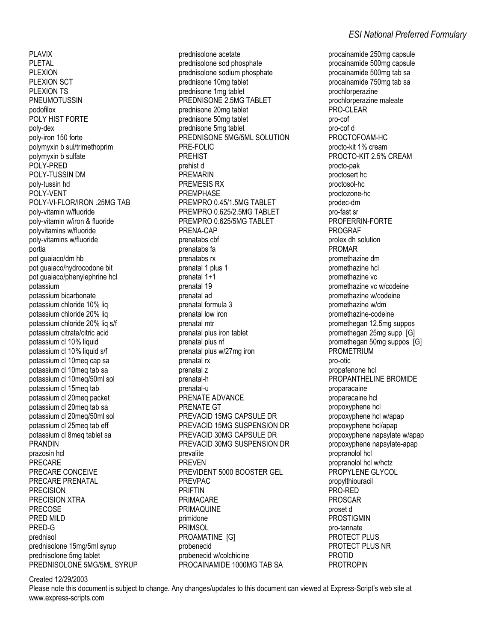PLAVIX PLETAL PLEXION PLEXION SCT PLEXION TS PNEUMOTUSSIN podofilox POLY HIST FORTE poly-dex poly-iron 150 forte polymyxin b sul/trimethoprim polymyxin b sulfate POLY-PRED POLY-TUSSIN DM poly-tussin hd POLY-VENT POLY-VI-FLOR/IRON .25MG TAB poly-vitamin w/fluoride poly-vitamin w/iron & fluoride polyvitamins w/fluoride poly-vitamins w/fluoride portia pot guaiaco/dm hb pot guaiaco/hydrocodone bit pot guaiaco/phenylephrine hcl potassium potassium bicarbonate potassium chloride 10% liq potassium chloride 20% liq potassium chloride 20% liq s/f potassium citrate/citric acid potassium cl 10% liquid potassium cl 10% liquid s/f potassium cl 10meq cap sa potassium cl 10meq tab sa potassium cl 10meq/50ml sol potassium cl 15meq tab potassium cl 20meq packet potassium cl 20meq tab sa potassium cl 20meq/50ml sol potassium cl 25meq tab eff potassium cl 8meq tablet sa PRANDIN prazosin hcl PRECARE PRECARE CONCEIVE PRECARE PRENATAL PRECISION PRECISION XTRA PRECOSE PRED MILD PRED-G prednisol prednisolone 15mg/5ml syrup prednisolone 5mg tablet PREDNISOLONE 5MG/5ML SYRUP

prednisolone acetate prednisolone sod phosphate prednisolone sodium phosphate prednisone 10mg tablet prednisone 1mg tablet PREDNISONE 2.5MG TABLET prednisone 20mg tablet prednisone 50mg tablet prednisone 5mg tablet PREDNISONE 5MG/5ML SOLUTION PRE-FOLIC PREHIST prehist d PREMARIN PREMESIS RX PREMPHASE PREMPRO 0.45/1.5MG TABLET PREMPRO 0.625/2.5MG TABLET PREMPRO 0.625/5MG TABLET PRENA-CAP prenatabs cbf prenatabs fa prenatabs rx prenatal 1 plus 1 prenatal 1+1 prenatal 19 prenatal ad prenatal formula 3 prenatal low iron prenatal mtr prenatal plus iron tablet prenatal plus nf prenatal plus w/27mg iron prenatal rx prenatal z prenatal-h prenatal-u PRENATE ADVANCE PRENATE GT PREVACID 15MG CAPSULE DR PREVACID 15MG SUSPENSION DR PREVACID 30MG CAPSULE DR PREVACID 30MG SUSPENSION DR prevalite PREVEN PREVIDENT 5000 BOOSTER GEL PREVPAC PRIFTIN PRIMACARE PRIMAQUINE primidone PRIMSOL PROAMATINE [G] probenecid probenecid w/colchicine PROCAINAMIDE 1000MG TAB SA

procainamide 250mg capsule procainamide 500mg capsule procainamide 500mg tab sa procainamide 750mg tab sa prochlorperazine prochlorperazine maleate PRO-CLEAR pro-cof pro-cof d PROCTOFOAM-HC procto-kit 1% cream PROCTO-KIT 2.5% CREAM procto-pak proctosert hc proctosol-hc proctozone-hc prodec-dm pro-fast sr PROFERRIN-FORTE PROGRAF prolex dh solution PROMAR promethazine dm promethazine hcl promethazine vc promethazine vc w/codeine promethazine w/codeine promethazine w/dm promethazine-codeine promethegan 12.5mg suppos promethegan 25mg supp [G] promethegan 50mg suppos [G] **PROMETRIUM** pro-otic propafenone hcl PROPANTHELINE BROMIDE proparacaine proparacaine hcl propoxyphene hcl propoxyphene hcl w/apap propoxyphene hcl/apap propoxyphene napsylate w/apap propoxyphene napsylate-apap propranolol hcl propranolol hcl w/hctz PROPYLENE GLYCOL propylthiouracil PRO-RED PROSCAR proset d PROSTIGMIN pro-tannate PROTECT PLUS PROTECT PLUS NR PROTID PROTROPIN

Created 12/29/2003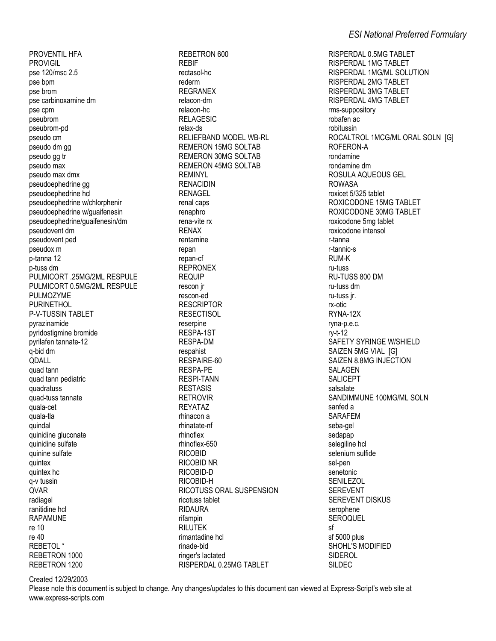PROVENTIL HFA **PROVIGIL** pse 120/msc 2.5 pse bpm pse brom pse carbinoxamine dm pse cpm pseubrom pseubrom-pd pseudo cm pseudo dm gg pseudo gg tr pseudo max pseudo max dmx pseudoephedrine aa pseudoephedrine hcl pseudoephedrine w/chlorphenir pseudoephedrine w/guaifenesin pseudoephedrine/guaifenesin/dm pseudovent dm pseudovent ped pseudox m p-tanna 12 p-tuss dm PULMICORT .25MG/2ML RESPULE PULMICORT 0.5MG/2ML RESPULE **PULMOZYME PURINETHOL** P-V-TUSSIN TABLET pyrazinamide pyridostigmine bromide pyrilafen tannate-12 q-bid dm QDALL quad tann quad tann pediatric quadratuss quad-tuss tannate quala-cet quala-tla quindal quinidine gluconate quinidine sulfate quinine sulfate quintex quintex hc q-v tussin QVAR radiagel ranitidine hcl **RAPAMUNE** re 10 re 40 **REBETOL\*** REBETRON 1000 REBETRON 1200

REBETRON 600 **REBIE** rectasol-hc rederm **REGRANEX** relacon-dm relacon-hc **RELAGESIC** relax-ds RELIEFBAND MODEL WB-RL **REMERON 15MG SOLTAB REMERON 30MG SOLTAB REMERON 45MG SOLTAB REMINYL RENACIDIN** RENAGEL renal caps renaphro rena-vite rx **RFNAX** rentamine repan repan-cf **REPRONEX REQUIP** rescon ir rescon-ed **RESCRIPTOR RESECTISOL** reserpine RESPA-1ST RESPA-DM respahist RESPAIRE-60 **RESPA-PE RESPI-TANN RESTASIS RETROVIR REYATAZ** rhinacon a rhinatate-nf rhinoflex rhinoflex-650 **RICOBID RICOBID NR** RICOBID-D RICOBID-H RICOTUSS ORAL SUSPENSION ricotuss tablet **RIDAURA** rifampin **RILUTEK** rimantadine hcl rinade-bid ringer's lactated RISPERDAL 0.25MG TABLET

RISPERDAL 0.5MG TABLET **RISPERDAL 1MG TABLET** RISPERDAL 1MG/ML SOLUTION RISPERDAL 2MG TABLET **RISPERDAL 3MG TABLET RISPERDAL 4MG TABLET** rms-suppository robafen ac robitussin ROCALTROL 1MCG/ML ORAL SOLN [G] ROFERON-A rondamine rondamine dm ROSULA AQUEOUS GEL **ROWASA** roxicet 5/325 tablet ROXICODONE 15MG TABLET ROXICODONE 30MG TABLET roxicodone 5mg tablet roxicodone intensol r-tanna r-tannic-s **RUM-K** ru-tuss RU-TUSS 800 DM ru-tuss dm ru-tuss ir. rx-otic RYNA-12X ryna-p.e.c. rv-t-12 SAFETY SYRINGE W/SHIELD SAIZEN 5MG VIAL [G] SAIZEN 8.8MG INJECTION **SALAGEN** SALICEPT salsalate SANDIMMUNE 100MG/ML SOLN sanfed a **SARAFEM** seba-gel sedapap selegiline hcl selenium sulfide sel-pen senetonic **SENILEZOL SEREVENT SEREVENT DISKUS** serophene **SEROQUEL** sf sf 5000 plus SHOHL'S MODIFIED SIDEROL SILDEC

Created 12/29/2003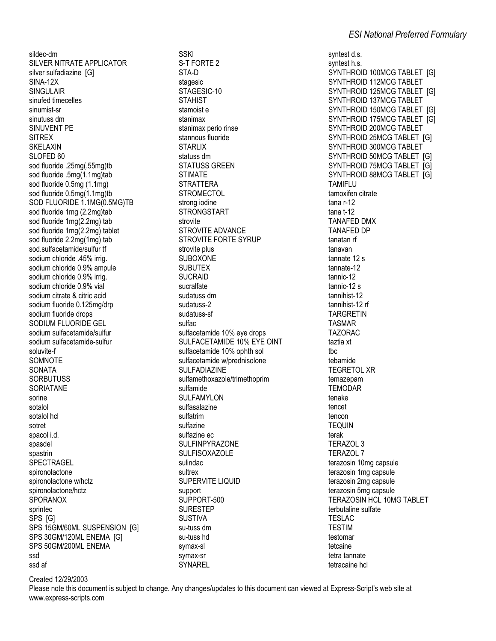sildec-dm SILVER NITRATE APPLICATOR silver sulfadiazine [G] **SINA-12X SINGULAIR** sinufed timecelles sinumist-sr sinutuss dm SINUVENT PE **SITRFX SKELAXIN** SLOFED 60 sod fluoride .25mg(.55mg)tb sod fluoride .5mg(1.1mg)tab sod fluoride 0.5mg (1.1mg) sod fluoride 0.5mg(1.1mg)tb SOD FLUORIDE 1.1MG(0.5MG)TB sod fluoride 1mg (2.2mg)tab sod fluoride 1mg(2.2mg) tab sod fluoride 1mg(2.2mg) tablet sod fluoride 2.2mg(1mg) tab sod.sulfacetamide/sulfur tf sodium chloride .45% irrig. sodium chloride 0.9% ampule sodium chloride 0.9% irrig. sodium chloride 0.9% vial sodium citrate & citric acid sodium fluoride 0.125mg/drp sodium fluoride drops SODIUM FLUORIDE GEL sodium sulfacetamide/sulfur sodium sulfacetamide-sulfur soluvite-f SOMNOTE **SONATA SORBUTUSS** SORIATANE sorine sotalol sotalol hcl sotret spacol i.d. spasdel spastrin SPECTRAGEL spironolactone spironolactone w/hctz spironolactone/hctz **SPORANOX** sprintec SPS [G] SPS 15GM/60ML SUSPENSION [G] SPS 30GM/120ML ENEMA [G] SPS 50GM/200ML ENEMA ssd ssd af

**SSKI** S-T FORTE 2 STA-D stagesic STAGESIC-10 **STAHIST** stamoist e stanimax stanimax perio rinse stannous fluoride **STARLIX** statuss dm **STATUSS GREEN STIMATE STRATTERA STROMFCTOL** strong iodine **STRONGSTART** etrovite **STROVITE ADVANCE STROVITE FORTE SYRUP** strovite plus **SUBOXONE SUBUTEX SUCRAID** sucralfate sudatuss dm sudatuss-2 sudatuss-sf sulfac sulfacetamide 10% eye drops SULFACETAMIDE 10% EYE OINT sulfacetamide 10% ophth sol sulfacetamide w/prednisolone **SULFADIAZINE** sulfamethoxazole/trimethoprim sulfamide **SULFAMYLON** sulfasalazine sulfatrim sulfazine sulfazine ec **SULFINPYRAZONE SULFISOXAZOLE** sulindac sultrex **SUPERVITE LIQUID** support SUPPORT-500 **SURESTEP SUSTIVA** su-tuss dm su-tuss hd symax-sl svmax-sr SYNARFI

syntest d.s. syntest h.s. SYNTHROID 100MCG TABLET IGI SYNTHROID 112MCG TABLET SYNTHROID 125MCG TABLET IGI SYNTHROID 137MCG TABLET SYNTHROID 150MCG TABLET [G] SYNTHROID 175MCG TABLET [G] SYNTHROID 200MCG TABLET SYNTHROID 25MCG TABLET [G] SYNTHROID 300MCG TABLET SYNTHROID 50MCG TABLET [G] SYNTHROID 75MCG TABLET [G] SYNTHROID 88MCG TABLET [G] **TAMIFLU** tamoxifen citrate  $t$ ana r-12  $t$ ana  $t-12$ **TANAFED DMX TANAFED DP** tanatan rf tanavan tannate 12 s tannate-12 tannic-12 tannic-12 s tannihist-12 tannihist-12 rf **TARGRETIN TASMAR TAZORAC** taztia xt the. tebamide **TEGRETOL XR** temazepam **TEMODAR** tenake tencet tencon **TEQUIN** terak **TERAZOL 3 TERAZOL 7** terazosin 10mg capsule terazosin 1mg capsule terazosin 2mg capsule terazosin 5mg capsule **TERAZOSIN HCL 10MG TABLET** terbutaline sulfate **TESLAC TESTIM** testomar tetcaine tetra tannate tetracaine hol

Created 12/29/2003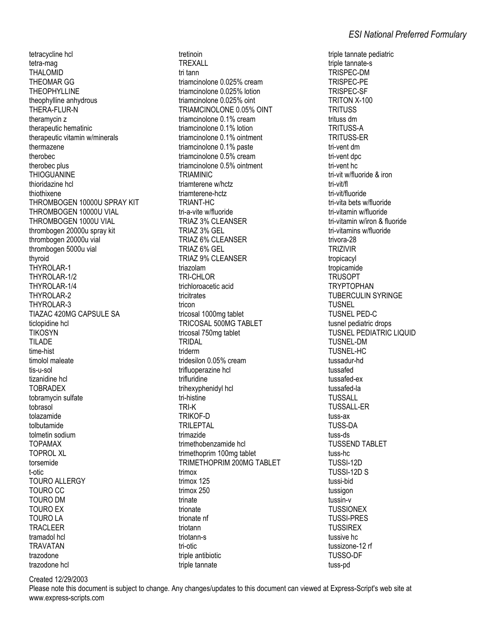tetracycline hcl tetra-mag **THALOMID THEOMAR GG THEOPHYLLINE** theophylline anhydrous THERA-FLUR-N theramycin z therapeutic hematinic therapeutic vitamin w/minerals thermazene therobec therobec plus **THIOGUANINE** thioridazine hcl thiothixene THROMBOGEN 10000U SPRAY KIT THROMBOGEN 10000U VIAL THROMBOGEN 1000U VIAL thrombogen 20000u spray kit thrombogen 20000u vial thrombogen 5000u vial thyroid THYROLAR-1 THYROLAR-1/2 THYROLAR-1/4 THYROLAR-2 THYROLAR-3 TIAZAC 420MG CAPSULE SA ticlopidine hcl **TIKOSYN** TIL ADE time-hist timolol maleate tis-u-sol tizanidine hcl **TOBRADEX** tobramvcin sulfate tobrasol tolazamide tolbutamide tolmetin sodium **TOPAMAX TOPROL XL** torsemide t-otic **TOURO ALLERGY TOURO CC TOURO DM TOURO EX TOURO LA TRACLEER** tramadol hcl **TRAVATAN** trazodone trazodone hcl

tretinoin **TREXALL** tri tann triamcinolone 0.025% cream triamcinolone 0.025% lotion triamcinolone 0.025% oint TRIAMCINOLONE 0.05% OINT triamcinolone 0.1% cream triamcinolone 0.1% lotion triamcinolone 0.1% ointment triamcinolone 0.1% paste triamcinolone 0.5% cream triamcinolone 0.5% ointment **TRIAMINIC** triamterene w/hctz triamterene-hctz TRIANT-HC tri-a-vite w/fluoride **TRIAZ 3% CLEANSER** TRIAZ 3% GEL TRIAZ 6% CLEANSER TRIAZ 6% GEL **TRIAZ 9% CLEANSER** triazolam TRI-CHLOR trichloroacetic acid tricitrates tricon tricosal 1000mg tablet TRICOSAL 500MG TABLET tricosal 750mg tablet **TRIDAL** triderm tridesilon 0.05% cream trifluoperazine hcl trifluridine trihexyphenidyl hcl tri-histine TRI-K TRIKOF-D **TRILEPTAL** trimazide trimethobenzamide hcl trimethoprim 100mg tablet TRIMETHOPRIM 200MG TABLET trimox trimox 125 trimox 250 trinate trionate trionate nf triotann triotann-s tri-otic triple antibiotic triple tannate

triple tannate pediatric triple tannate-s TRISPEC-DM **TRISPEC-PE TRISPEC-SF** TRITON X-100 **TRITUSS** trituss dm **TRITUSS-A TRITUSS-ER** tri-vent dm tri-vent dpc tri-vent hc tri-vit w/fluoride & iron tri-vit/fl tri-vit/fluoride tri-vita bets w/fluoride tri-vitamin w/fluoride tri-vitamin w/iron & fluoride tri-vitamins w/fluoride trivora-28 **TRIZIVIR** tropicacyl tropicamide **TRUSOPT TRYPTOPHAN TUBERCULIN SYRINGE** TUSNEL **TUSNEL PED-C** tusnel pediatric drops **TUSNEL PEDIATRIC LIQUID** TUSNEL-DM TUSNEL-HC tussadur-hd tussafed tussafed-ex tussafed-la **TUSSALL TUSSALL-ER** tuss-ax **TUSS-DA** tuss-ds **TUSSEND TABLET** tuss-hc TUSSI-12D TUSSI-12D S tussi-bid tussigon tussin-v **TUSSIONEX TUSSI-PRES TUSSIREX** tussive hc tussizone-12 rf **TUSSO-DF** tuss-pd

Created 12/29/2003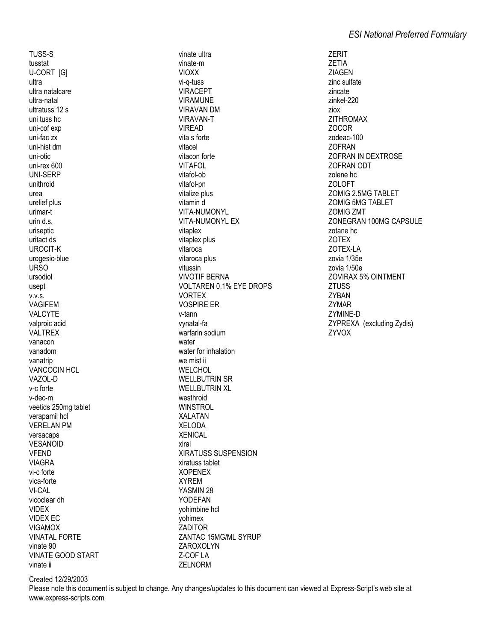TUSS-S tusstat **U-CORT [G]** ultra ultra natalcare ultra-natal ultratuss 12 s uni tuss hc uni-cof exp uni-fac zx uni-hist dm uni-otic uni-rex 600 **UNI-SERP** unithroid urea urelief plus urimar-t urin d.s. uriseptic uritact ds **UROCIT-K** urogesic-blue **URSO** ursodiol usept  $V.V.S.$ **VAGIFEM** VALCYTE valproic acid **VALTREX** vanacon vanadom vanatrip **VANCOCIN HCL** VAZOL-D v-c forte v-dec-m veetids 250mg tablet verapamil hcl **VERELAN PM** versacaps **VESANOID VFEND VIAGRA** vi-c forte vica-forte VI-CAL vicoclear dh **VIDEX VIDEX EC VIGAMOX VINATAI FORTF** vinate 90 **VINATE GOOD START** vinate ii

vinate ultra vinate-m **VIOXX** vi-a-tuss **VIRACEPT VIRAMUNE VIRAVAN DM VIRAVAN-T VIREAD** vita s forte vitacel vitacon forte VITAFOL vitafol-ob vitafol-pn vitalize plus vitamin d VITA-NUMONYL **VITA-NUMONYL EX** vitaplex vitaplex plus vitaroca vitaroca plus vitussin **VIVOTIF BERNA VOLTAREN 0.1% EYE DROPS VORTEX VOSPIRE ER** v-tann vvnatal-fa warfarin sodium water water for inhalation we mist ii WELCHOL **WELLBUTRIN SR WELLBUTRIN XL** westhroid **WINSTROL XALATAN XELODA XENICAL** viral **XIRATUSS SUSPENSION** xiratuss tablet **XOPENEX XYREM** YASMIN 28 **YODEFAN** vohimbine hcl yohimex **ZADITOR ZANTAC 15MG/ML SYRUP** ZAROXOLYN Z-COF LA **7FI NORM** 

**ZERIT ZETIA ZIAGEN** zinc sulfate zincate zinkel-220 ziox **ZITHROMAX ZOCOR** zodeac-100 **ZOFRAN ZOFRAN IN DEXTROSE 70FRAN ODT** zolene hc **ZOLOFT ZOMIG 2 5MG TABLET ZOMIG 5MG TABLET ZOMIG ZMT** ZONEGRAN 100MG CAPSULE zotane hc **ZOTEX** ZOTEX-LA zovia 1/35e zovia 1/50e **ZOVIRAX 5% OINTMENT ZTUSS ZYBAN ZYMAR** ZYMINE-D ZYPREXA (excluding Zydis) **ZYVOX** 

Created 12/29/2003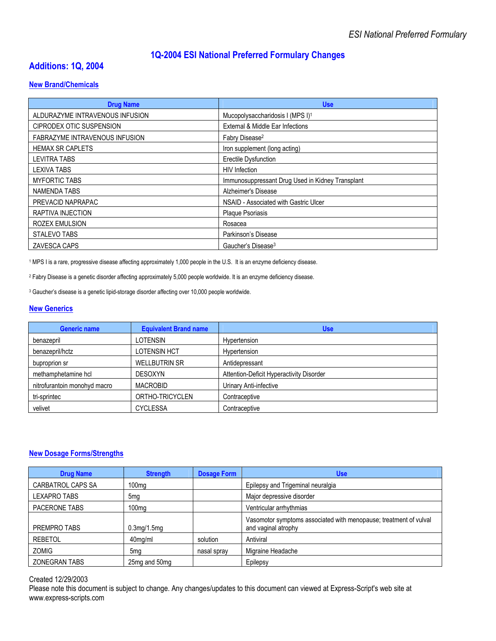# **1Q-2004 ESI National Preferred Formulary Changes**

# **Additions: 1Q, 2004**

#### **New Brand/Chemicals**

| <b>Drug Name</b>                      | <b>Use</b>                                       |
|---------------------------------------|--------------------------------------------------|
| ALDURAZYME INTRAVENOUS INFUSION       | Mucopolysaccharidosis I (MPS I) <sup>1</sup>     |
| CIPRODEX OTIC SUSPENSION              | External & Middle Ear Infections                 |
| <b>FABRAZYME INTRAVENOUS INFUSION</b> | Fabry Disease <sup>2</sup>                       |
| <b>HEMAX SR CAPLETS</b>               | Iron supplement (long acting)                    |
| LEVITRA TABS                          | Erectile Dysfunction                             |
| <b>LEXIVA TABS</b>                    | <b>HIV</b> Infection                             |
| <b>MYFORTIC TABS</b>                  | Immunosuppressant Drug Used in Kidney Transplant |
| NAMENDA TABS                          | Alzheimer's Disease                              |
| PREVACID NAPRAPAC                     | NSAID - Associated with Gastric Ulcer            |
| RAPTIVA INJECTION                     | <b>Plaque Psoriasis</b>                          |
| <b>ROZEX EMULSION</b>                 | Rosacea                                          |
| STALEVO TABS                          | Parkinson's Disease                              |
| ZAVESCA CAPS                          | Gaucher's Disease <sup>3</sup>                   |

1 MPS I is a rare, progressive disease affecting approximately 1,000 people in the U.S. It is an enzyme deficiency disease.

2 Fabry Disease is a genetic disorder affecting approximately 5,000 people worldwide. It is an enzyme deficiency disease.

<sup>3</sup> Gaucher's disease is a genetic lipid-storage disorder affecting over 10,000 people worldwide.

#### **New Generics**

| <b>Generic name</b>          | <b>Equivalent Brand name</b> | <b>Use</b>                               |
|------------------------------|------------------------------|------------------------------------------|
| benazepril                   | LOTENSIN                     | Hypertension                             |
| benazepril/hctz              | <b>LOTENSIN HCT</b>          | Hypertension                             |
| buproprion sr                | <b>WELLBUTRIN SR</b>         | Antidepressant                           |
| methamphetamine hcl          | <b>DESOXYN</b>               | Attention-Deficit Hyperactivity Disorder |
| nitrofurantoin monohyd macro | <b>MACROBID</b>              | Urinary Anti-infective                   |
| tri-sprintec                 | ORTHO-TRICYCLEN              | Contraceptive                            |
| velivet                      | <b>CYCLESSA</b>              | Contraceptive                            |

#### **New Dosage Forms/Strengths**

| <b>Drug Name</b>     | <b>Strength</b>   | <b>Dosage Form</b> | <b>Use</b>                                                                               |
|----------------------|-------------------|--------------------|------------------------------------------------------------------------------------------|
| CARBATROL CAPS SA    | 100 <sub>mg</sub> |                    | Epilepsy and Trigeminal neuralgia                                                        |
| <b>LEXAPRO TABS</b>  | 5 <sub>mg</sub>   |                    | Major depressive disorder                                                                |
| PACERONE TABS        | 100 <sub>mq</sub> |                    | Ventricular arrhythmias                                                                  |
| PREMPRO TABS         | $0.3$ mg/1.5mg    |                    | Vasomotor symptoms associated with menopause; treatment of vulval<br>and vaginal atrophy |
| <b>REBETOL</b>       | 40mg/ml           | solution           | Antiviral                                                                                |
| <b>ZOMIG</b>         | 5ma               | nasal spray        | Migraine Headache                                                                        |
| <b>ZONEGRAN TABS</b> | 25mg and 50mg     |                    | Epilepsy                                                                                 |

#### Created 12/29/2003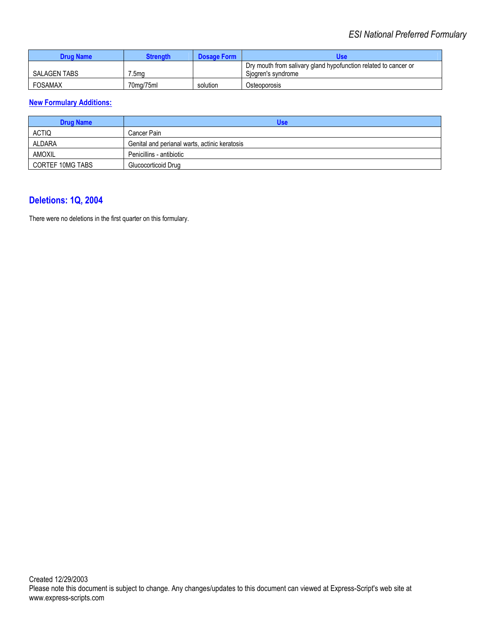| <b>Drug Name</b> | Strenath  | <b>Dosage Form</b> | Use                                                                                   |
|------------------|-----------|--------------------|---------------------------------------------------------------------------------------|
| SALAGEN TABS     | 7.5ma     |                    | Dry mouth from salivary gland hypofunction related to cancer or<br>Sjogren's syndrome |
| <b>FOSAMAX</b>   | 70mg/75ml | solution           | Osteoporosis                                                                          |

## **New Formulary Additions:**

| <b>Drug Name</b> | Use                                           |
|------------------|-----------------------------------------------|
| <b>ACTIQ</b>     | Cancer Pain                                   |
| ALDARA           | Genital and perianal warts, actinic keratosis |
| AMOXIL           | Penicillins - antibiotic                      |
| CORTEF 10MG TABS | Glucocorticoid Drug                           |

# **Deletions: 1Q, 2004**

There were no deletions in the first quarter on this formulary.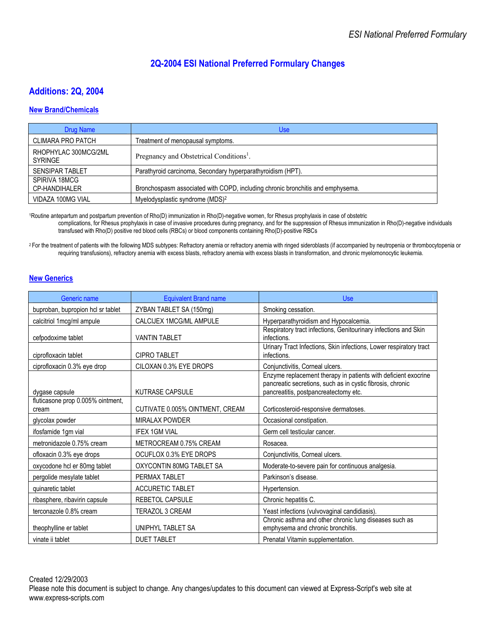# **2Q-2004 ESI National Preferred Formulary Changes**

# **Additions: 2Q, 2004**

#### **New Brand/Chemicals**

| <b>Drug Name</b>                       | Use                                                                            |
|----------------------------------------|--------------------------------------------------------------------------------|
| <b>CLIMARA PRO PATCH</b>               | Treatment of menopausal symptoms.                                              |
| RHOPHYLAC 300MCG/2ML<br><b>SYRINGE</b> | Pregnancy and Obstetrical Conditions <sup>1</sup> .                            |
| <b>SENSIPAR TABLET</b>                 | Parathyroid carcinoma, Secondary hyperparathyroidism (HPT).                    |
| SPIRIVA 18MCG<br>CP-HANDIHALER         | Bronchospasm associated with COPD, including chronic bronchitis and emphysema. |
| VIDAZA 100MG VIAL                      | Myelodysplastic syndrome (MDS) <sup>2</sup>                                    |

1Routine antepartum and postpartum prevention of Rho(D) immunization in Rho(D)-negative women, for Rhesus prophylaxis in case of obstetric complications, for Rhesus prophylaxis in case of invasive procedures during pregnancy, and for the suppression of Rhesus immunization in Rho(D)-negative individuals transfused with Rho(D) positive red blood cells (RBCs) or blood components containing Rho(D)-positive RBCs

<sup>2</sup> For the treatment of patients with the following MDS subtypes: Refractory anemia or refractory anemia with ringed sideroblasts (if accompanied by neutropenia or thrombocytopenia or requiring transfusions), refractory anemia with excess blasts, refractory anemia with excess blasts in transformation, and chronic myelomonocytic leukemia.

#### **New Generics**

| Generic name                               | <b>Equivalent Brand name</b>    | <b>Use</b>                                                                                                                                                            |
|--------------------------------------------|---------------------------------|-----------------------------------------------------------------------------------------------------------------------------------------------------------------------|
| buproban, bupropion hcl sr tablet          | ZYBAN TABLET SA (150mg)         | Smoking cessation.                                                                                                                                                    |
| calcitriol 1mcg/ml ampule                  | CALCIJEX 1MCG/ML AMPULE         | Hyperparathyroidism and Hypocalcemia.                                                                                                                                 |
| cefpodoxime tablet                         | <b>VANTIN TABLET</b>            | Respiratory tract infections, Genitourinary infections and Skin<br>infections.                                                                                        |
| ciprofloxacin tablet                       | <b>CIPRO TABLET</b>             | Urinary Tract Infections, Skin infections, Lower respiratory tract<br>infections.                                                                                     |
| ciprofloxacin 0.3% eye drop                | CILOXAN 0.3% EYE DROPS          | Conjunctivitis, Corneal ulcers.                                                                                                                                       |
| dygase capsule                             | <b>KUTRASE CAPSULE</b>          | Enzyme replacement therapy in patients with deficient exocrine<br>pancreatic secretions, such as in cystic fibrosis, chronic<br>pancreatitis, postpancreatectomy etc. |
| fluticasone prop 0.005% ointment,<br>cream | CUTIVATE 0.005% OINTMENT, CREAM | Corticosteroid-responsive dermatoses.                                                                                                                                 |
| glycolax powder                            | <b>MIRALAX POWDER</b>           | Occasional constipation.                                                                                                                                              |
| ifosfamide 1gm vial                        | <b>IFEX 1GM VIAL</b>            | Germ cell testicular cancer.                                                                                                                                          |
| metronidazole 0.75% cream                  | METROCREAM 0.75% CREAM          | Rosacea.                                                                                                                                                              |
| ofloxacin 0.3% eye drops                   | OCUFLOX 0.3% EYE DROPS          | Conjunctivitis, Corneal ulcers.                                                                                                                                       |
| oxycodone hcl er 80mg tablet               | OXYCONTIN 80MG TABLET SA        | Moderate-to-severe pain for continuous analgesia.                                                                                                                     |
| pergolide mesylate tablet                  | PERMAX TABLET                   | Parkinson's disease.                                                                                                                                                  |
| quinaretic tablet                          | <b>ACCURETIC TABLET</b>         | Hypertension.                                                                                                                                                         |
| ribasphere, ribavirin capsule              | REBETOL CAPSULE                 | Chronic hepatitis C.                                                                                                                                                  |
| terconazole 0.8% cream                     | TERAZOL 3 CREAM                 | Yeast infections (vulvovaginal candidiasis).                                                                                                                          |
| theophylline er tablet                     | UNIPHYL TABLET SA               | Chronic asthma and other chronic lung diseases such as<br>emphysema and chronic bronchitis.                                                                           |
| vinate ii tablet                           | <b>DUET TABLET</b>              | Prenatal Vitamin supplementation.                                                                                                                                     |